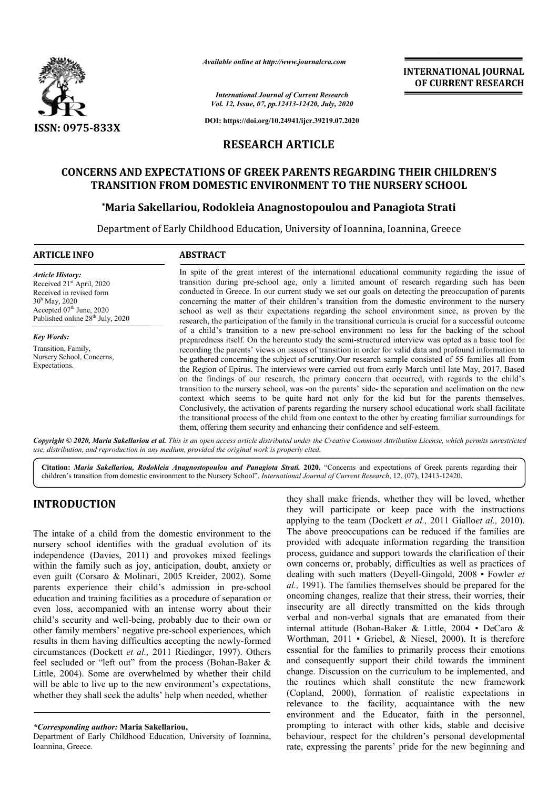

*Available online at http://www.journalcra.com*

**INTERNATIONAL JOURNAL OF CURRENT RESEARCH**

*International Journal of Current Research Vol. 12, Issue, 07, pp.12413-12420, July, 2020*

**DOI: https://doi.org/10.24941/ijcr.39219.07.2020**

# **RESEARCH ARTICLE**

### **CONCERNS AND EXPECTATIONS OF GREEK PARENTS REGARDING THEIR CHILDREN'S GREEK CHILDREN'S FROM DOMESTIC TO THE NURSERY SCHOOL TRANSITION FROM DOMESTIC ENVIRONMENT TO THE NURSERY SCHOOL**

# **\*Maria Sakellariou, Rodokleia Anagnostopoulou and Panagiota Strati Maria**

Department of Early Childhood Education, University of Ioannina, Ioannina, Greece

#### **ARTICLE INFO ABSTRACT**

*Article History:* Received 21<sup>st</sup> April, 2020 Received in revised form 30h May, 2020 Accepted  $07<sup>th</sup>$  June, 2020 Published online 28<sup>th</sup> July, 2020

*Key Words:* Transition, Family, Nursery School, Concerns, Expectations.

In spite of the great interest of the international educational community regarding the issue of transition during pre-school age, only a limited amount of research regarding such has been conducted in Greece. In our current study we set our goals on detecting the preoccupation of parents concerning the matter of their children's transition from the domestic environment to the nursery school as well as their expectations regarding the school environment since, as proven by the research, the participation of the family in the transitional curricula is crucial for a successful outcome of a child's transition to a new pre-school environment no less for the backing of the school preparedness itself. On the hereunto study the semi-structured interview was opted as a basic tool for recording the parents' views on issues of transition in order for valid data and profound information to be gathered concerning the subject of scrutiny. Our research sample consisted of 55 families all from the Region of Epirus. The interviews were carried out from early March until late May, 2017. Based on the findings of our research, the primary concern that occurred, with regards to the child's transition to the nursery school, was -on the parents' side- the separati context which seems to be quite hard not only for the kid but for the parents themselves. Conclusively, the activation of parents regarding the nursery school educational work shall facilitate the transitional process of the child from one context to the other by creating familiar surroundings for them, offering them security and enhancing their confidence and self-esteem. In spite of the great interest of the international educational community regarding the issue of transition during pre-school age, only a limited amount of research regarding such has been conducted in Greece. In our curre context which seems to be quite hard not only for the kid but for the parents themselves.<br>Conclusively, the activation of parents regarding the nursery school educational work shall facilitate<br>the transitional process of t

Copyright © 2020, Maria Sakellariou et al. This is an open access article distributed under the Creative Commons Attribution License, which permits unrestrictea *use, distribution, and reproduction in any medium, provided the original work is properly cited.*

Citation: Maria Sakellariou, Rodokleia Anagnostopoulou and Panagiota Strati. 2020. "Concerns and expectations of Greek parents regarding their Citation: Maria Sakellariou, Rodokleia Anagnostopoulou and Panagiota Strati. 2020. "Concerns and expectations of Greek parents regarding<br>children's transition from domestic environment to the Nursery School", International

# **INTRODUCTION**

The intake of a child from the domestic environment to the nursery school identifies with the gradual evolution of its independence (Davies, 2011) and provokes mixed feelings within the family such as joy, anticipation, doubt, anxiety or even guilt (Corsaro & Molinari, 2005 Kreider, 2002). Some<br>parents experience their child's admission in pre-school parents experience their child's admission in pre education and training facilities as a procedure of separation or even loss, accompanied with an intense worry about their child's security and well-being, probably due to their own or other family members' negative pre-school experiences, which results in them having difficulties accepting the newly circumstances (Dockett *et al.,* 2011 Riedinger, 1997). Others feel secluded or "left out" from the process (Bohan-Baker & Little, 2004). Some are overwhelmed by whether their child will be able to live up to the new environment's expectations, whether they shall seek the adults' help when needed, whether being, probably due to their own or<br>gative pre-school experiences, which<br>ficulties accepting the newly-formed

they shall make friends, whether they will be loved, whether<br>they will participate or keep pace with the instructions<br>applying to the team (Dockett *et al.*, 2011 Giallo*et al.*, 2010).<br>The above preoccupations can be redu they shall make friends, whether they will be loved, whether they will participate or keep pace with the instructions applying to the team (Dockett *et al.,* 2011 Gialloet al., 2010). The above preoccupations can be reduced if the families are provided with adequate information regarding the transition The above preoccupations can be reduced if the families are provided with adequate information regarding the transition process, guidance and support towards the clarification of their own concerns or, probably, difficulties as well as practices of own concerns or, probably, difficulties as well as practices of dealing with such matters (Deyell-Gingold, 2008 • Fowler *et al.,* 1991). The families themselves should be prepared for the oncoming changes, realize that their stress, their worries, their insecurity are all directly transmitted on the kids through verbal and non-verbal signals that are emanated from their internal attitude (Bohan-Baker & Little, 2004 Worthman, 2011 • Griebel, & Niesel, 2000). It is therefore essential for the families to primarily process their emotions and consequently support their child towards the imminent change. Discussion on the curriculum to be implemented, and the routines which shall constitute the new framework essential for the families to primarily process their emotions<br>and consequently support their child towards the imminent<br>change. Discussion on the curriculum to be implemented, and<br>the routines which shall constitute the n relevance to the facility, acquaintance with the new environment and the Educator, faith in the personnel, prompting to interact with other kids, stable and decisive behaviour, respect for the children's personal developmental rate, expressing the parents' pride for the new beginning and al., 1991). The families themselves should be prepared for the oncoming changes, realize that their stress, their worries, their insecurity are all directly transmitted on the kids through verbal and non-verbal signals th **EXERCTS (THE ANTIFONATIONAL FOURNATE (CONTRATE)**<br> **ACCONDUM CONTRATE CONTRATE CONTRATE CONTRATE (CONTRATE)**<br> **ACCONDUM ANTIFORM CONTRATE CONTRATE (CONTRATE)**<br> **ACCONDING THEIR CHILDREN'S**<br> **CCONTRATE CONTRATE CONTRATE (CO** 

*<sup>\*</sup>Corresponding author:* **Maria Sakellariou,**

Department of Early Childhood Education, University of Ioannina, Ioannina, Greece.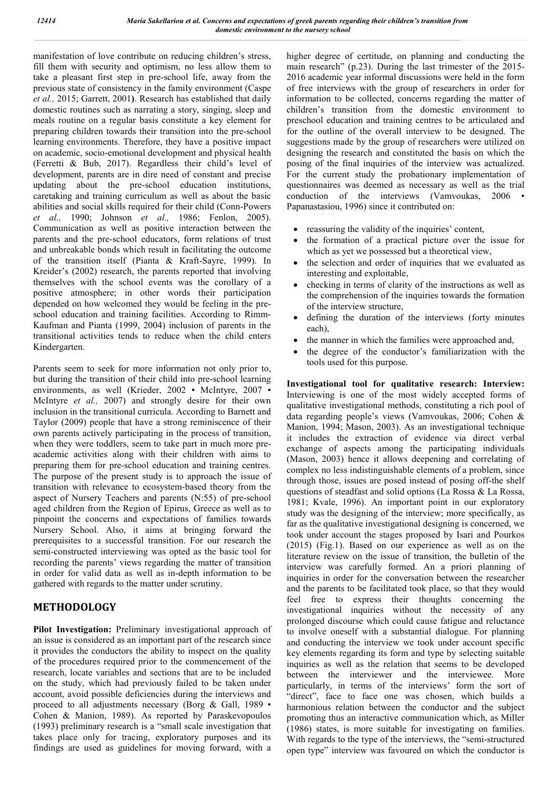manifestation of love contribute on reducing children's stress, fill them with security and optimism, no less allow them to take a pleasant first step in pre-school life, away from the previous state of consistency in the family environment (Caspe *et al.,* 2015; Garrett, 2001**)**. Research has established that daily domestic routines such as narrating a story, singing, sleep and meals routine on a regular basis constitute a key element for preparing children towards their transition into the pre-school learning environments. Therefore, they have a positive impact on academic, socio-emotional development and physical health (Ferretti & Bub, 2017). Regardless their child's level of development, parents are in dire need of constant and precise updating about the pre-school education institutions, caretaking and training curriculum as well as about the basic abilities and social skills required for their child (Conn-Powers *et al.,* 1990; Johnson *et al.,* 1986; Fenlon, 2005). Communication as well as positive interaction between the parents and the pre-school educators, form relations of trust and unbreakable bonds which result in facilitating the outcome of the transition itself (Pianta & Kraft-Sayre, 1999). In Kreider's (2002) research, the parents reported that involving themselves with the school events was the corollary of a positive atmosphere; in other words their participation depended on how welcomed they would be feeling in the preschool education and training facilities. According to Rimm-Kaufman and Pianta (1999, 2004) inclusion of parents in the transitional activities tends to reduce when the child enters Kindergarten.

Parents seem to seek for more information not only prior to, but during the transition of their child into pre-school learning environments, as well (Krieder, 2002 · McIntyre, 2007 · McIntyre *et al.,* 2007) and strongly desire for their own inclusion in the transitional curricula. According to Barnett and Taylor (2009) people that have a strong reminiscence of their own parents actively participating in the process of transition, when they were toddlers, seem to take part in much more preacademic activities along with their children with aims to preparing them for pre-school education and training centres. The purpose of the present study is to approach the issue of transition with relevance to ecosystem-based theory from the aspect of Nursery Teachers and parents (Ν:55) of pre-school aged children from the Region of Epirus, Greece as well as to pinpoint the concerns and expectations of families towards Nursery School. Also, it aims at bringing forward the prerequisites to a successful transition. For our research the semi-constructed interviewing was opted as the basic tool for recording the parents' views regarding the matter of transition in order for valid data as well as in-depth information to be gathered with regards to the matter under scrutiny.

# **METHODOLOGY**

**Pilot Investigation:** Preliminary investigational approach of an issue is considered as an important part of the research since it provides the conductors the ability to inspect on the quality of the procedures required prior to the commencement of the research, locate variables and sections that are to be included on the study, which had previously failed to be taken under account, avoid possible deficiencies during the interviews and proceed to all adjustments necessary (Borg & Gall, 1989 · Cohen & Manion, 1989). As reported by Paraskevopoulos (1993) preliminary research is a "small scale investigation that takes place only for tracing, exploratory purposes and its findings are used as guidelines for moving forward, with a

higher degree of certitude, on planning and conducting the main research" (p.23). During the last trimester of the 2015- 2016 academic year informal discussions were held in the form of free interviews with the group of researchers in order for information to be collected, concerns regarding the matter of children's transition from the domestic environment to preschool education and training centres to be articulated and for the outline of the overall interview to be designed. The suggestions made by the group of researchers were utilized on designing the research and constituted the basis on which the posing of the final inquiries of the interview was actualized. For the current study the probationary implementation of questionnaires was deemed as necessary as well as the trial conduction of the interviews (Vamvoukas, 2006 · Papanastasiou, 1996) since it contributed on:

- reassuring the validity of the inquiries' content,
- the formation of a practical picture over the issue for which as yet we possessed but a theoretical view,
- the selection and order of inquiries that we evaluated as interesting and exploitable,
- checking in terms of clarity of the instructions as well as the comprehension of the inquiries towards the formation of the interview structure,
- defining the duration of the interviews (forty minutes each),
- the manner in which the families were approached and,
- the degree of the conductor's familiarization with the tools used for this purpose.

**Investigational tool for qualitative research: Interview:**  Interviewing is one of the most widely accepted forms of qualitative investigational methods, constituting a rich pool of data regarding people's views (Vamvoukas, 2006; Cohen & Manion, 1994; Mason, 2003). As an investigational technique it includes the extraction of evidence via direct verbal exchange of aspects among the participating individuals (Mason, 2003) hence it allows deepening and correlating of complex no less indistinguishable elements of a problem, since through those, issues are posed instead of posing off-the shelf questions of steadfast and solid options (La Rossa & La Rossa, 1981; Kvale, 1996). An important point in our exploratory study was the designing of the interview; more specifically, as far as the qualitative investigational designing is concerned, we took under account the stages proposed by Isari and Pourkos (2015) (Fig.1). Based on our experience as well as on the literature review on the issue of transition, the bulletin of the interview was carefully formed. An a priori planning of inquiries in order for the conversation between the researcher and the parents to be facilitated took place, so that they would feel free to express their thoughts concerning the investigational inquiries without the necessity of any prolonged discourse which could cause fatigue and reluctance to involve oneself with a substantial dialogue. For planning and conducting the interview we took under account specific key elements regarding its form and type by selecting suitable inquiries as well as the relation that seems to be developed between the interviewer and the interviewee. More particularly, in terms of the interviews' form the sort of "direct", face to face one was chosen, which builds a harmonious relation between the conductor and the subject promoting thus an interactive communication which, as Miller (1986) states, is more suitable for investigating on families. With regards to the type of the interviews, the "semi-structured open type" interview was favoured on which the conductor is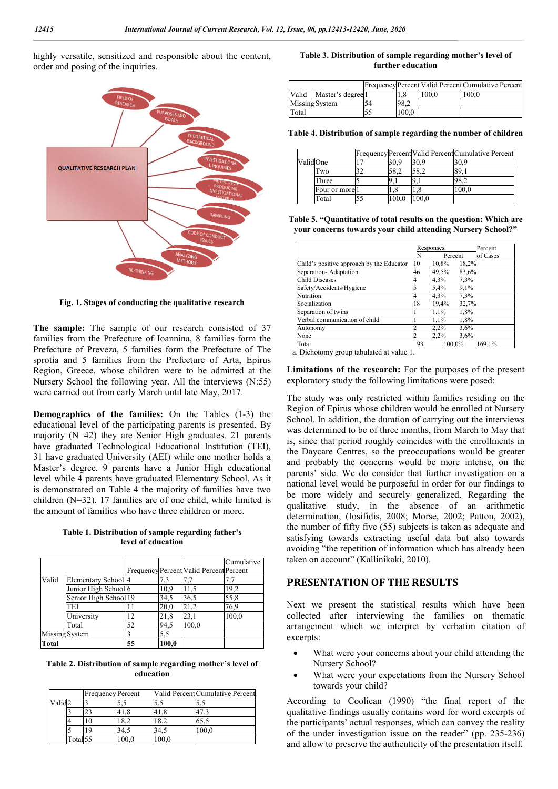highly versatile, sensitized and responsible about the content, order and posing of the inquiries.



**Fig. 1. Stages of conducting the qualitative research**

**The sample:** The sample of our research consisted of 37 families from the Prefecture of Ioannina, 8 families form the Prefecture of Preveza, 5 families form the Prefecture of The sprotia and 5 families from the Prefecture of Arta, Epirus Region, Greece, whose children were to be admitted at the Nursery School the following year. All the interviews (N:55) were carried out from early March until late May, 2017.

**Demographics of the families:** On the Tables (1-3) the educational level of the participating parents is presented. By majority (N=42) they are Senior High graduates. 21 parents have graduated Technological Educational Institution (TEI), 31 have graduated University (AEI) while one mother holds a Master's degree. 9 parents have a Junior High educational level while 4 parents have graduated Elementary School. As it is demonstrated on Table 4 the majority of families have two children (N=32). 17 families are of one child, while limited is the amount of families who have three children or more.

| Table 1. Distribution of sample regarding father's |                    |  |
|----------------------------------------------------|--------------------|--|
|                                                    | level of education |  |

|                |                                 |    |       |                                         | Cumulative |
|----------------|---------------------------------|----|-------|-----------------------------------------|------------|
|                |                                 |    |       | Frequency Percent Valid Percent Percent |            |
| Valid          | Elementary School <sup>4</sup>  |    | 7.3   | 7.7                                     |            |
|                | Junior High School <sup>6</sup> |    | 10,9  | 11,5                                    | 19,2       |
|                | Senior High School 19           |    | 34,5  | 36,5                                    | 55,8       |
|                | <b>TEI</b>                      | 11 | 20,0  | 21,2                                    | 76,9       |
|                | University                      | 12 | 21,8  | 23,1                                    | 100,0      |
|                | Total                           | 52 | 94,5  | 100,0                                   |            |
| Missing System |                                 | 3  | 5,5   |                                         |            |
| Total          |                                 | 55 | 100,0 |                                         |            |

**Table 2. Distribution of sample regarding mother's level of education**

|        |                     | <b>Frequency Percent</b> |       |       | Valid Percent Cumulative Percent |
|--------|---------------------|--------------------------|-------|-------|----------------------------------|
| Valid2 |                     |                          |       |       |                                  |
|        |                     | 23                       |       |       | 47.3                             |
|        |                     |                          | 18,2  |       | 65,5                             |
|        |                     |                          |       |       | 100.0                            |
|        | Total <sub>55</sub> |                          | 100,0 | 100,0 |                                  |

#### **Table 3. Distribution of sample regarding mother's level of further education**

|                |                   |    |       |       | FrequencyPercent Valid Percent Cumulative Percent |
|----------------|-------------------|----|-------|-------|---------------------------------------------------|
| Valid          | Master's degree 1 |    |       | 100.0 | 100.0                                             |
| Missing System |                   | 54 | 98.2  |       |                                                   |
| Total          |                   |    | 100.0 |       |                                                   |

**Table 4. Distribution of sample regarding the number of children**

|          |                |      |      | Frequency Percent Valid Percent Cumulative Percent |
|----------|----------------|------|------|----------------------------------------------------|
| ValidOne |                | 30.9 | 30.9 | 30.9                                               |
|          | Two            | 58.2 | 58.2 |                                                    |
|          | Three          |      |      |                                                    |
|          | Four or more l | 1.8  |      | 100.0                                              |
|          | Total          | 0.00 | 00.0 |                                                    |

**Table 5. "Quantitative of total results on the question: Which are your concerns towards your child attending Nursery School?"**

|                                           |    | Responses      |       | Percent  |  |
|-------------------------------------------|----|----------------|-------|----------|--|
|                                           | N  | Percent        |       | of Cases |  |
| Child's positive approach by the Educator | 10 | 10,8%          | 18,2% |          |  |
| Separation-Adaptation                     | 46 | 49,5%          | 83,6% |          |  |
| <b>Child Diseases</b>                     | 4  | 4,3%           | 7,3%  |          |  |
| Safety/Accidents/Hygiene                  | ς  | 5,4%           | 9,1%  |          |  |
| Nutrition                                 |    | 4,3%           | 7,3%  |          |  |
| Socialization                             |    | 19,4%<br>32,7% |       |          |  |
| Separation of twins                       |    | 1,1%           | 1,8%  |          |  |
| Verbal communication of child             |    | 1,1%           | 1,8%  |          |  |
| Autonomy                                  |    | 2,2%<br>3,6%   |       |          |  |
| None                                      |    | 2,2%           | 3,6%  |          |  |
| Total                                     | 93 | 100,0%         |       | 169,1%   |  |

a. Dichotomy group tabulated at value 1.

**Limitations of the research:** For the purposes of the present exploratory study the following limitations were posed:

The study was only restricted within families residing on the Region of Epirus whose children would be enrolled at Nursery School. In addition, the duration of carrying out the interviews was determined to be of three months, from March to May that is, since that period roughly coincides with the enrollments in the Daycare Centres, so the preoccupations would be greater and probably the concerns would be more intense, on the parents' side. We do consider that further investigation on a national level would be purposeful in order for our findings to be more widely and securely generalized. Regarding the qualitative study, in the absence of an arithmetic determination, (Iosifidis, 2008; Morse, 2002; Patton, 2002), the number of fifty five (55) subjects is taken as adequate and satisfying towards extracting useful data but also towards avoiding "the repetition of information which has already been taken on account" (Kallinikaki, 2010).

#### **PRESENTATION OF THE RESULTS**

Next we present the statistical results which have been collected after interviewing the families on thematic arrangement which we interpret by verbatim citation of excerpts:

- What were your concerns about your child attending the Nursery School?
- What were your expectations from the Nursery School towards your child?

According to Coolican (1990) "the final report of the qualitative findings usually contains word for word excerpts of the participants' actual responses, which can convey the reality of the under investigation issue on the reader" (pp. 235-236) and allow to preserve the authenticity of the presentation itself.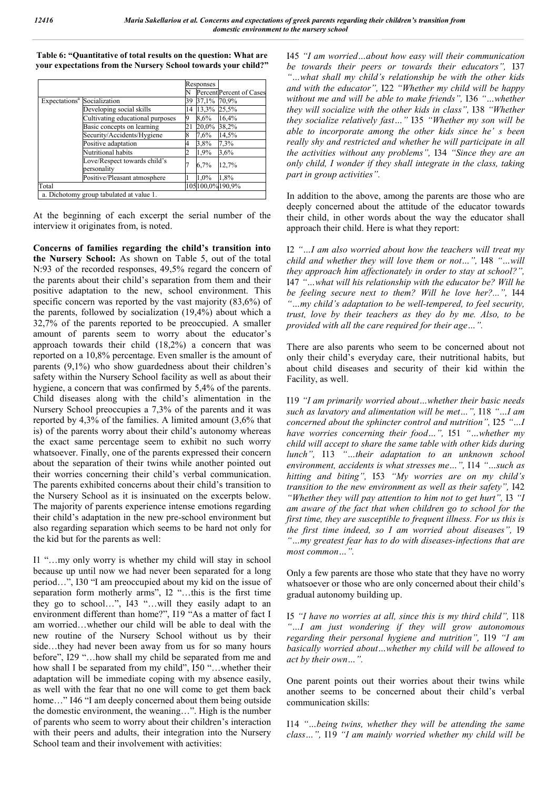Responses N Percent Percent of Case<br>39 37.1% 70.9% Expectations<sup>a</sup> Socialization 39 37,1% 70,9% Developing social skills 14 13,3% 25,5% Cultivating educational purposes  $\begin{array}{r} 9 \quad 8.6\% \quad 16.4\% \\ \text{Basic concepts on learning} \quad 21 \quad 20.0\% \quad 38.2\% \end{array}$ Basic concepts on learning 21 20,0%<br>Security/Accidents/Hygiene 8 7,6% Security/Accidents/Hygiene 8 7,6% 14,5% Positive adaptation 4 3,8% 7,3% Nutritional habits 2 1,9% 3,6% Love/Respect towards child's Love/Respect towards child's<br>
personality<br>
Positive/Pleasant atmosphere  $\frac{1}{10\%}$  1.8% **Positive/Pleasant atmosphere** Total 105 $100,0\%190,9\%$ a. Dichotomy group tabulated at value 1.

**Table 6: "Quantitative of total results on the question: What are your expectations from the Nursery School towards your child?"**

At the beginning of each excerpt the serial number of the interview it originates from, is noted.

**Concerns of families regarding the child's transition into the Nursery School:** As shown on Table 5, out of the total N:93 of the recorded responses, 49,5% regard the concern of the parents about their child's separation from them and their positive adaptation to the new, school environment. This specific concern was reported by the vast majority (83,6%) of the parents, followed by socialization (19,4%) about which a 32,7% of the parents reported to be preoccupied. A smaller amount of parents seem to worry about the educator's approach towards their child (18,2%) a concern that was reported on a 10,8% percentage. Even smaller is the amount of parents (9,1%) who show guardedness about their children's safety within the Nursery School facility as well as about their hygiene, a concern that was confirmed by 5,4% of the parents. Child diseases along with the child's alimentation in the Nursery School preoccupies a 7,3% of the parents and it was reported by 4,3% of the families. A limited amount (3,6% that is) of the parents worry about their child's autonomy whereas the exact same percentage seem to exhibit no such worry whatsoever. Finally, one of the parents expressed their concern about the separation of their twins while another pointed out their worries concerning their child's verbal communication. The parents exhibited concerns about their child's transition to the Nursery School as it is insinuated on the excerpts below. The majority of parents experience intense emotions regarding their child's adaptation in the new pre-school environment but also regarding separation which seems to be hard not only for the kid but for the parents as well:

I1 "…my only worry is whether my child will stay in school because up until now we had never been separated for a long period…", I30 "I am preoccupied about my kid on the issue of separation form motherly arms", I2 "…this is the first time they go to school…", I43 "…will they easily adapt to an environment different than home?", I19 "As a matter of fact I am worried…whether our child will be able to deal with the new routine of the Nursery School without us by their side…they had never been away from us for so many hours before", I29 "…how shall my child be separated from me and how shall I be separated from my child", I50 "...whether their adaptation will be immediate coping with my absence easily, as well with the fear that no one will come to get them back home…" I46 "I am deeply concerned about them being outside the domestic environment, the weaning…". High is the number of parents who seem to worry about their children's interaction with their peers and adults, their integration into the Nursery School team and their involvement with activities:

I45 *"I am worried…about how easy will their communication be towards their peers or towards their educators",* I37 *"…what shall my child's relationship be with the other kids and with the educator",* I22 *"Whether my child will be happy without me and will be able to make friends",* I36 *"…whether they will socialize with the other kids in class",* I38 *"Whether they socialize relatively fast…"* I35 *"Whether my son will be able to incorporate among the other kids since he' s been really shy and restricted and whether he will participate in all the activities without any problems",* I34 *"Since they are an only child, I wonder if they shall integrate in the class, taking part in group activities".* 

In addition to the above, among the parents are those who are deeply concerned about the attitude of the educator towards their child, in other words about the way the educator shall approach their child. Here is what they report:

I2 *"…I am also worried about how the teachers will treat my child and whether they will love them or not…",* I48 *"…will they approach him affectionately in order to stay at school?",*  I47 *"…what will his relationship with the educator be? Will he be feeling secure next to them? Will he love her?...",* I44 *"…my child's adaptation to be well-tempered, to feel security, trust, love by their teachers as they do by me. Also, to be provided with all the care required for their age…".* 

There are also parents who seem to be concerned about not only their child's everyday care, their nutritional habits, but about child diseases and security of their kid within the Facility, as well.

I19 *"I am primarily worried about…whether their basic needs such as lavatory and alimentation will be met…",* I18 *"…I am concerned about the sphincter control and nutrition",* I25 *"…I have worries concerning their food…",* I51 *"…whether my child will accept to share the same table with other kids during lunch",* I13 *"…their adaptation to an unknown school environment, accidents is what stresses me…",* I14 *"…such as hitting and biting",* I53 *"My worries are on my child's transition to the new environment as well as their safety",* I42 *"Whether they will pay attention to him not to get hurt",* I3 *"I am aware of the fact that when children go to school for the first time, they are susceptible to frequent illness. For us this is the first time indeed, so I am worried about diseases",* I9 *"…my greatest fear has to do with diseases-infections that are most common…".* 

Only a few parents are those who state that they have no worry whatsoever or those who are only concerned about their child's gradual autonomy building up.

I5 *"I have no worries at all, since this is my third child",* I18 *"…I am just wondering if they will grow autonomous regarding their personal hygiene and nutrition",* I19 *"I am basically worried about…whether my child will be allowed to act by their own…".*

One parent points out their worries about their twins while another seems to be concerned about their child's verbal communication skills:

I14 *"…being twins, whether they will be attending the same class…",* I19 *"I am mainly worried whether my child will be*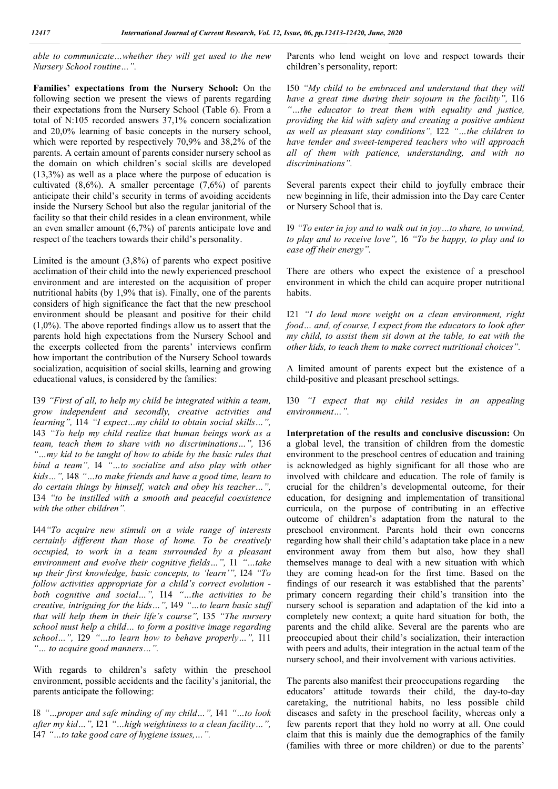*able to communicate…whether they will get used to the new Nursery School routine…".*

**Families' expectations from the Nursery School:** On the following section we present the views of parents regarding their expectations from the Nursery School (Table 6). From a total of N:105 recorded answers 37,1% concern socialization and 20,0% learning of basic concepts in the nursery school, which were reported by respectively 70,9% and 38,2% of the parents. A certain amount of parents consider nursery school as the domain on which children's social skills are developed (13,3%) as well as a place where the purpose of education is cultivated (8,6%). A smaller percentage (7,6%) of parents anticipate their child's security in terms of avoiding accidents inside the Nursery School but also the regular janitorial of the facility so that their child resides in a clean environment, while an even smaller amount (6,7%) of parents anticipate love and respect of the teachers towards their child's personality.

Limited is the amount  $(3,8\%)$  of parents who expect positive acclimation of their child into the newly experienced preschool environment and are interested on the acquisition of proper nutritional habits (by 1,9% that is). Finally, one of the parents considers of high significance the fact that the new preschool environment should be pleasant and positive for their child  $(1,0\%)$ . The above reported findings allow us to assert that the parents hold high expectations from the Nursery School and the excerpts collected from the parents' interviews confirm how important the contribution of the Nursery School towards socialization, acquisition of social skills, learning and growing educational values, is considered by the families:

I39 *"First of all, to help my child be integrated within a team, grow independent and secondly, creative activities and learning",* I14 *"I expect…my child to obtain social skills…",* I43 *"To help my child realize that human beings work as a team, teach them to share with no discriminations…",* I36 *"…my kid to be taught of how to abide by the basic rules that bind a team",* I4 *"…to socialize and also play with other kids…",* I48 *"…to make friends and have a good time, learn to do certain things by himself, watch and obey his teacher…",*  I34 *"to be instilled with a smooth and peaceful coexistence with the other children".* 

I44*"To acquire new stimuli on a wide range of interests certainly different than those of home. To be creatively occupied, to work in a team surrounded by a pleasant environment and evolve their cognitive fields…",* I1 *"…take up their first knowledge, basic concepts, to 'learn'",* I24 *"To follow activities appropriate for a child's correct evolution both cognitive and social…",* I14 *"…the activities to be creative, intriguing for the kids…",* I49 *"…to learn basic stuff that will help them in their life's course",* I35 *"The nursery school must help a child… to form a positive image regarding school…",* I29 *"…to learn how to behave properly…",* I11 *"… to acquire good manners…".*

With regards to children's safety within the preschool environment, possible accidents and the facility's janitorial, the parents anticipate the following:

I8 *"…proper and safe minding of my child…",* I41 *"…to look after my kid…",* I21 *"…high weightiness to a clean facility…",*  I47 *"…to take good care of hygiene issues,…".*

Parents who lend weight on love and respect towards their children's personality, report:

I50 *"My child to be embraced and understand that they will have a great time during their sojourn in the facility",* I16 *"…the educator to treat them with equality and justice, providing the kid with safety and creating a positive ambient as well as pleasant stay conditions",* I22 *"…the children to have tender and sweet-tempered teachers who will approach all of them with patience, understanding, and with no discriminations".* 

Several parents expect their child to joyfully embrace their new beginning in life, their admission into the Day care Center or Nursery School that is.

I9 *"To enter in joy and to walk out in joy…to share, to unwind, to play and to receive love",* I6 *"To be happy, to play and to ease off their energy".*

There are others who expect the existence of a preschool environment in which the child can acquire proper nutritional habits.

I21 *"I do lend more weight on a clean environment, right food… and, of course, I expect from the educators to look after my child, to assist them sit down at the table, to eat with the other kids, to teach them to make correct nutritional choices".*

A limited amount of parents expect but the existence of a child-positive and pleasant preschool settings.

I30 *"I expect that my child resides in an appealing environment…".*

**Interpretation of the results and conclusive discussion:** On a global level, the transition of children from the domestic environment to the preschool centres of education and training is acknowledged as highly significant for all those who are involved with childcare and education. The role of family is crucial for the children's developmental outcome, for their education, for designing and implementation of transitional curricula, on the purpose of contributing in an effective outcome of children's adaptation from the natural to the preschool environment. Parents hold their own concerns regarding how shall their child's adaptation take place in a new environment away from them but also, how they shall themselves manage to deal with a new situation with which they are coming head-on for the first time. Based on the findings of our research it was established that the parents' primary concern regarding their child's transition into the nursery school is separation and adaptation of the kid into a completely new context; a quite hard situation for both, the parents and the child alike. Several are the parents who are preoccupied about their child's socialization, their interaction with peers and adults, their integration in the actual team of the nursery school, and their involvement with various activities.

The parents also manifest their preoccupations regarding the educators' attitude towards their child, the day-to-day caretaking, the nutritional habits, no less possible child diseases and safety in the preschool facility, whereas only a few parents report that they hold no worry at all. One could claim that this is mainly due the demographics of the family (families with three or more children) or due to the parents'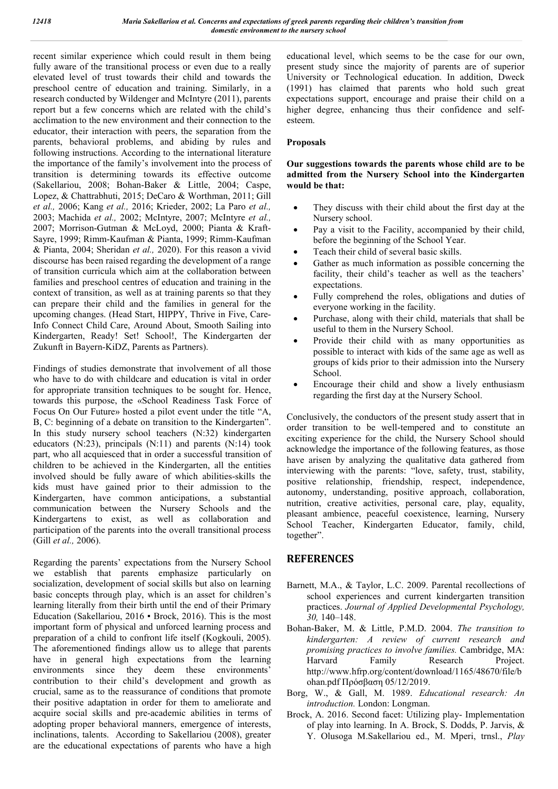recent similar experience which could result in them being fully aware of the transitional process or even due to a really elevated level of trust towards their child and towards the preschool centre of education and training. Similarly, in a research conducted by Wildenger and McIntyre (2011), parents report but a few concerns which are related with the child's acclimation to the new environment and their connection to the educator, their interaction with peers, the separation from the parents, behavioral problems, and abiding by rules and following instructions. According to the international literature the importance of the family's involvement into the process of transition is determining towards its effective outcome (Sakellariou, 2008; Bohan-Baker & Little, 2004; Caspe, Lopez, & Chattrabhuti, 2015; DeCaro & Worthman, 2011; Gill *et al.,* 2006; Kang *et al.,* 2016; Krieder, 2002; La Paro *et al.,*  2003; Machida *et al.,* 2002; McIntyre, 2007; McIntyre *et al.,*  2007; Morrison-Gutman & McLoyd, 2000; Pianta & Kraft-Sayre, 1999; Rimm-Kaufman & Pianta, 1999; Rimm-Kaufman & Pianta, 2004; Sheridan *et al.,* 2020). For this reason a vivid discourse has been raised regarding the development of a range of transition curricula which aim at the collaboration between families and preschool centres of education and training in the context of transition, as well as at training parents so that they can prepare their child and the families in general for the upcoming changes. (Head Start, HIPPY, Thrive in Five, Care-Info Connect Child Care, Around About, Smooth Sailing into Kindergarten, Ready! Set! School!, The Kindergarten der Zukunft in Bayern-KiDZ, Parents as Partners).

Findings of studies demonstrate that involvement of all those who have to do with childcare and education is vital in order for appropriate transition techniques to be sought for. Hence, towards this purpose, the «School Readiness Task Force of Focus On Our Future» hosted a pilot event under the title "A, B, C: beginning of a debate on transition to the Kindergarten". In this study nursery school teachers (N:32) kindergarten educators (N:23), principals (N:11) and parents (N:14) took part, who all acquiesced that in order a successful transition of children to be achieved in the Kindergarten, all the entities involved should be fully aware of which abilities-skills the kids must have gained prior to their admission to the Kindergarten, have common anticipations, a substantial communication between the Nursery Schools and the Kindergartens to exist, as well as collaboration and participation of the parents into the overall transitional process (Gill *et al.,* 2006).

Regarding the parents' expectations from the Nursery School we establish that parents emphasize particularly on socialization, development of social skills but also on learning basic concepts through play, which is an asset for children's learning literally from their birth until the end of their Primary Education (Sakellariou, 2016 ▪ Brock, 2016). This is the most important form of physical and unforced learning process and preparation of a child to confront life itself (Kogkouli, 2005). The aforementioned findings allow us to allege that parents have in general high expectations from the learning environments since they deem these environments' contribution to their child's development and growth as crucial, same as to the reassurance of conditions that promote their positive adaptation in order for them to ameliorate and acquire social skills and pre-academic abilities in terms of adopting proper behavioral manners, emergence of interests, inclinations, talents. According to Sakellariou (2008), greater are the educational expectations of parents who have a high

educational level, which seems to be the case for our own, present study since the majority of parents are of superior University or Technological education. In addition, Dweck (1991) has claimed that parents who hold such great expectations support, encourage and praise their child on a higher degree, enhancing thus their confidence and selfesteem.

#### **Proposals**

#### **Our suggestions towards the parents whose child are to be admitted from the Nursery School into the Kindergarten would be that:**

- They discuss with their child about the first day at the Nursery school.
- Pay a visit to the Facility, accompanied by their child, before the beginning of the School Year.
- Teach their child of several basic skills.
- Gather as much information as possible concerning the facility, their child's teacher as well as the teachers' expectations.
- Fully comprehend the roles, obligations and duties of everyone working in the facility.
- Purchase, along with their child, materials that shall be useful to them in the Nursery School.
- Provide their child with as many opportunities as possible to interact with kids of the same age as well as groups of kids prior to their admission into the Nursery School.
- Encourage their child and show a lively enthusiasm regarding the first day at the Nursery School.

Conclusively, the conductors of the present study assert that in order transition to be well-tempered and to constitute an exciting experience for the child, the Nursery School should acknowledge the importance of the following features, as those have arisen by analyzing the qualitative data gathered from interviewing with the parents: "love, safety, trust, stability, positive relationship, friendship, respect, independence, autonomy, understanding, positive approach, collaboration, nutrition, creative activities, personal care, play, equality, pleasant ambience, peaceful coexistence, learning, Nursery School Teacher, Kindergarten Educator, family, child, together".

# **REFERENCES**

- Barnett, M.A., & Taylor, L.C. 2009. Parental recollections of school experiences and current kindergarten transition practices. *Journal of Applied Developmental Psychology, 30,* 140–148.
- Bohan-Baker, M. & Little, P.M.D. 2004. *The transition to kindergarten: A review of current research and promising practices to involve families.* Cambridge, MA: Harvard Family Research Project. http://www.hfrp.org/content/download/1165/48670/file/b ohan.pdf Πρόσβαση 05/12/2019.
- Borg, W., & Gall, M. 1989. *Educational research: An introduction.* London: Longman.
- Brock, A. 2016. Second facet: Utilizing play- Implementation of play into learning. In A. Brock, S. Dodds, P. Jarvis, & Y. Olusoga M.Sakellariou ed., M. Mperi, trnsl., *Play*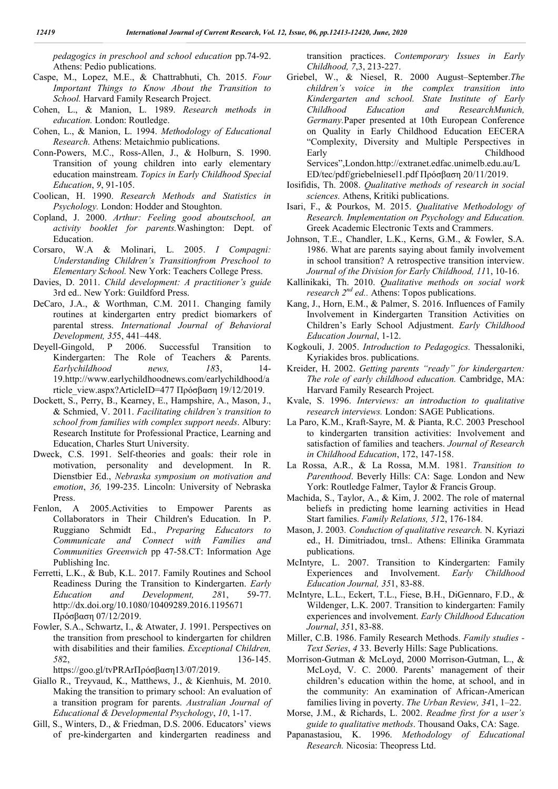*pedagogics in preschool and school education* pp.74-92. Athens: Pedio publications.

- Caspe, M., Lopez, M.E., & Chattrabhuti, Ch. 2015. *Four Important Things to Know About the Transition to School.* Harvard Family Research Project.
- Cohen, L., & Manion, L. 1989. *Research methods in education.* London: Routledge.
- Cohen, L., & Manion, L. 1994. *Methodology of Educational Research.* Athens: Metaichmio publications.
- Conn-Powers, M.C., Ross-Allen, J., & Holburn, S. 1990. Transition of young children into early elementary education mainstream. *Topics in Early Childhood Special Education*, *9*, 91-105.
- Coolican, Η. 1990. *Research Methods and Statistics in Psychology.* London: Hodder and Stoughton.
- Copland, J. 2000. *Arthur: Feeling good aboutschool, an activity booklet for parents.*Washington: Dept. of Education.
- Corsaro, W.A & Molinari, L. 2005. *I Compagni: Understanding Children's Transitionfrom Preschool to Elementary School.* New York: Teachers College Press.
- Davies, D. 2011. *Child development: A practitioner's guide*  3rd ed.. New York: Guildford Press.
- DeCaro, J.A., & Worthman, C.M. 2011. Changing family routines at kindergarten entry predict biomarkers of parental stress. *International Journal of Behavioral Development, 35*5, 441–448.
- Deyell-Gingold, P 2006. Successful Transition to Kindergarten: The Role of Teachers & Parents. *Earlychildhood news, 18*3, 14- 19.http://www.earlychildhoodnews.com/earlychildhood/a rticle\_view.aspx?ArticleID=477 Πρόσβαση 19/12/2019.
- Dockett, S., Perry, B., Kearney, E., Hampshire, A., Mason, J., & Schmied, V. 2011. *Facilitating children's transition to school from families with complex support needs*. Albury: Research Institute for Professional Practice, Learning and Education, Charles Sturt University.
- Dweck, C.S. 1991. Self-theories and goals: their role in motivation, personality and development. In R. Dienstbier Ed., *Nebraska symposium on motivation and emotion*, *36,* 199-235. Lincoln: University of Nebraska Press.
- Fenlon, Α 2005.Activities to Empower Parents as Collaborators in Their Children's Education. In P. Ruggiano Schmidt Ed., *Preparing Educators to Communicate and Connect with Families and Communities Greenwich* pp 47-58.CT: Information Age Publishing Inc.
- Ferretti, L.K., & Bub, K.L. 2017. Family Routines and School Readiness During the Transition to Kindergarten. *Early Education and Development, 28*1, 59-77. http://dx.doi.org/10.1080/10409289.2016.1195671 Πρόσβαση 07/12/2019.
- Fowler, S.A., Schwartz, I., & Atwater, J. 1991. Perspectives on the transition from preschool to kindergarten for children with disabilities and their families. *Exceptional Children, 58*2, 136-145.

https://goo.gl/tvPRArΠρόσβαση13/07/2019.

- Giallo R., Treyvaud, K., Matthews, J., & Kienhuis, M. 2010. Making the transition to primary school: An evaluation of a transition program for parents. *Australian Journal of Educational & Developmental Psychology*, *10*, 1-17.
- Gill, S., Winters, D., & Friedman, D.S. 2006. Educators' views of pre-kindergarten and kindergarten readiness and

transition practices. *Contemporary Issues in Early Childhood, 7*,3, 213-227.

- Griebel, W., & Niesel, R. 2000 August–September.*The children's voice in the complex transition into Kindergarten and school. State Institute of Early Childhood Education and ResearchMunich, Germany.*Paper presented at 10th European Conference on Quality in Early Childhood Education EECERA "Complexity, Diversity and Multiple Perspectives in Early Childhood Services",London.http://extranet.edfac.unimelb.edu.au/L ED/tec/pdf/griebelniesel1.pdf Πρόσβαση 20/11/2019.
- Iosifidis, Th. 2008. *Qualitative methods of research in social sciences.* Athens, Kritiki publications.
- Isari, F., & Pourkos, M. 2015. *Qualitative Methodology of Research. Implementation on Psychology and Education.* Greek Academic Electronic Texts and Crammers.
- Johnson, T.E., Chandler, L.K., Kerns, G.M., & Fowler, S.A. 1986. What are parents saying about family involvement in school transition? A retrospective transition interview. *Journal of the Division for Early Childhood, 11*1, 10-16.
- Kallinikaki, Th. 2010. *Qualitative methods on social work research*  $2^{nd}$  *ed..* Athens: Topos publications.
- Kang, J., Horn, E.M., & Palmer, S. 2016. Influences of Family Involvement in Kindergarten Transition Activities on Children's Early School Adjustment. *Early Childhood Education Journal*, 1-12.
- Kogkouli, J. 2005. *Introduction to Pedagogics.* Thessaloniki, Kyriakides bros. publications.
- Kreider, H. 2002. *Getting parents "ready" for kindergarten: The role of early childhood education.* Cambridge, MA: Harvard Family Research Project.
- Kvale, S. 1996. *Interviews: an introduction to qualitative research interviews.* London: SAGE Publications.
- La Paro, K.M., Kraft-Sayre, M. & Pianta, R.C. 2003 Preschool to kindergarten transition activities: Involvement and satisfaction of families and teachers. *Journal of Research in Childhood Education*, 172, 147-158.
- La Rossa, A.R., & La Rossa, M.M. 1981. *Transition to Parenthood*. Beverly Hills: CA: Sage*.* London and New York: Routledge Falmer, Taylor & Francis Group.
- Machida, S., Taylor, A., & Kim, J. 2002. The role of maternal beliefs in predicting home learning activities in Head Start families. *Family Relations, 51*2, 176-184.
- Mason, J. 2003*. Conduction of qualitative research.* N. Kyriazi ed., H. Dimitriadou, trnsl.. Athens: Ellinika Grammata publications.
- McIntyre, L. 2007. Transition to Kindergarten: Family Experiences and Involvement. *Early Childhood Education Journal, 35*1, 83-88.
- McIntyre, L.L., Eckert, T.L., Fiese, B.H., DiGennaro, F.D., & Wildenger, L.K. 2007. Transition to kindergarten: Family experiences and involvement. *Early Childhood Education Journal*, *35*1, 83-88.
- Miller, C.B. 1986. Family Research Methods. *Family studies - Text Series*, *4* 33. Beverly Hills: Sage Publications.
- Morrison-Gutman & McLoyd, 2000 Morrison-Gutman, L., & McLoyd, V. C. 2000. Parents' management of their children's education within the home, at school, and in the community: An examination of African-American families living in poverty. *The Urban Review, 34*1, 1–22.
- Morse, J.M., & Richards, L. 2002. *Readme first for a user's guide to qualitative methods*. Thousand Oaks, CA: Sage.
- Papanastasiou, K. 1996. *Methodology of Educational Research.* Nicosia: Theopress Ltd.